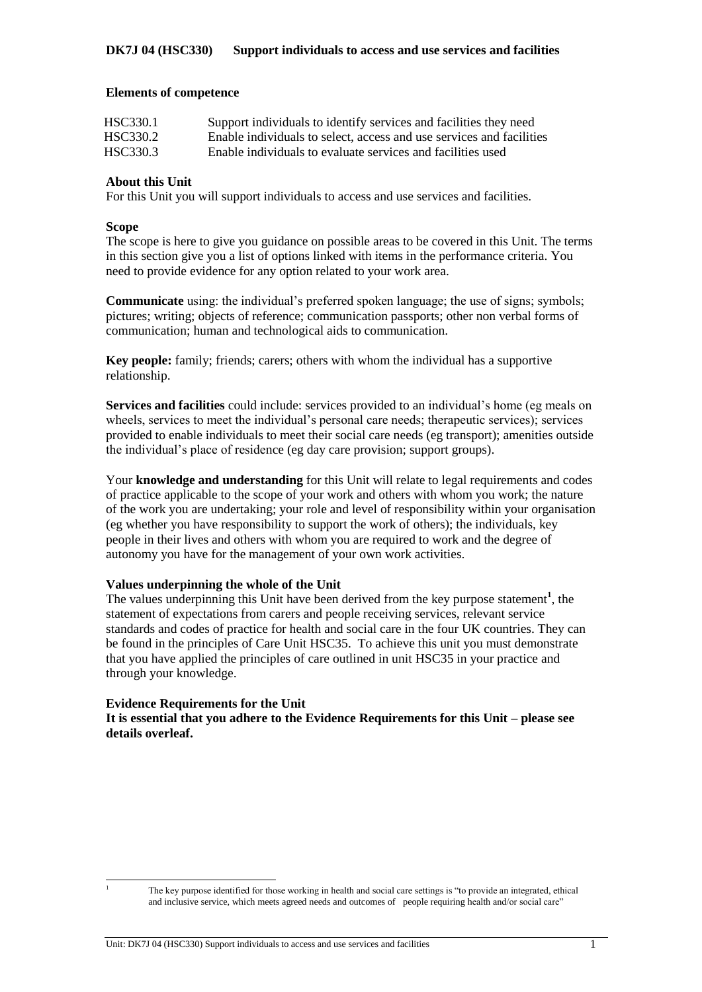#### **Elements of competence**

| HSC330.1 | Support individuals to identify services and facilities they need    |
|----------|----------------------------------------------------------------------|
| HSC330.2 | Enable individuals to select, access and use services and facilities |
| HSC330.3 | Enable individuals to evaluate services and facilities used          |

### **About this Unit**

For this Unit you will support individuals to access and use services and facilities.

### **Scope**

The scope is here to give you guidance on possible areas to be covered in this Unit. The terms in this section give you a list of options linked with items in the performance criteria. You need to provide evidence for any option related to your work area.

**Communicate** using: the individual's preferred spoken language; the use of signs; symbols; pictures; writing; objects of reference; communication passports; other non verbal forms of communication; human and technological aids to communication.

**Key people:** family; friends; carers; others with whom the individual has a supportive relationship.

**Services and facilities** could include: services provided to an individual's home (eg meals on wheels, services to meet the individual's personal care needs; therapeutic services); services provided to enable individuals to meet their social care needs (eg transport); amenities outside the individual's place of residence (eg day care provision; support groups).

Your **knowledge and understanding** for this Unit will relate to legal requirements and codes of practice applicable to the scope of your work and others with whom you work; the nature of the work you are undertaking; your role and level of responsibility within your organisation (eg whether you have responsibility to support the work of others); the individuals, key people in their lives and others with whom you are required to work and the degree of autonomy you have for the management of your own work activities.

### **Values underpinning the whole of the Unit**

The values underpinning this Unit have been derived from the key purpose statement<sup>1</sup>, the statement of expectations from carers and people receiving services, relevant service standards and codes of practice for health and social care in the four UK countries. They can be found in the principles of Care Unit HSC35. To achieve this unit you must demonstrate that you have applied the principles of care outlined in unit HSC35 in your practice and through your knowledge.

### **Evidence Requirements for the Unit**

**It is essential that you adhere to the Evidence Requirements for this Unit – please see details overleaf.**

 $\overline{1}$ 

<sup>1</sup> The key purpose identified for those working in health and social care settings is "to provide an integrated, ethical and inclusive service, which meets agreed needs and outcomes of people requiring health and/or social care"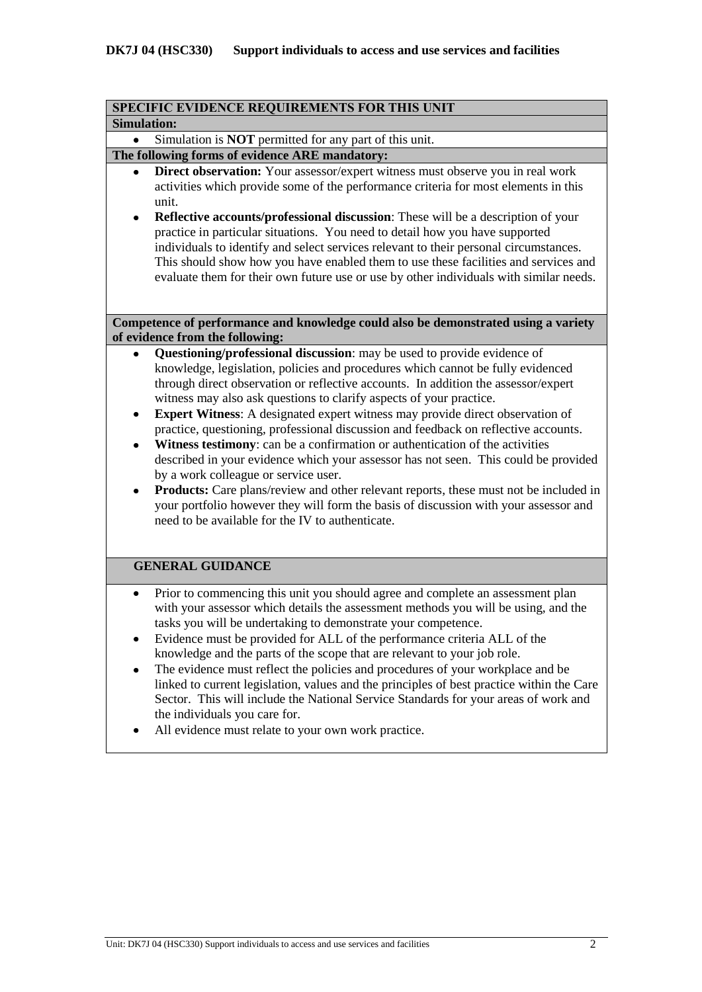|                    | SPECIFIC EVIDENCE REQUIREMENTS FOR THIS UNIT                                                                          |
|--------------------|-----------------------------------------------------------------------------------------------------------------------|
| <b>Simulation:</b> |                                                                                                                       |
|                    | Simulation is <b>NOT</b> permitted for any part of this unit.                                                         |
|                    | The following forms of evidence ARE mandatory:                                                                        |
|                    | Direct observation: Your assessor/expert witness must observe you in real work                                        |
|                    | activities which provide some of the performance criteria for most elements in this<br>unit.                          |
| $\bullet$          | Reflective accounts/professional discussion: These will be a description of your                                      |
|                    | practice in particular situations. You need to detail how you have supported                                          |
|                    | individuals to identify and select services relevant to their personal circumstances.                                 |
|                    | This should show how you have enabled them to use these facilities and services and                                   |
|                    | evaluate them for their own future use or use by other individuals with similar needs.                                |
|                    |                                                                                                                       |
|                    | Competence of performance and knowledge could also be demonstrated using a variety<br>of evidence from the following: |
|                    | Questioning/professional discussion: may be used to provide evidence of                                               |
|                    | knowledge, legislation, policies and procedures which cannot be fully evidenced                                       |
|                    | through direct observation or reflective accounts. In addition the assessor/expert                                    |
|                    | witness may also ask questions to clarify aspects of your practice.                                                   |
|                    | Expert Witness: A designated expert witness may provide direct observation of                                         |
|                    | practice, questioning, professional discussion and feedback on reflective accounts.                                   |
|                    | Witness testimony: can be a confirmation or authentication of the activities                                          |
|                    | described in your evidence which your assessor has not seen. This could be provided                                   |
|                    | by a work colleague or service user.                                                                                  |
|                    | Products: Care plans/review and other relevant reports, these must not be included in                                 |
|                    | your portfolio however they will form the basis of discussion with your assessor and                                  |
|                    | need to be available for the IV to authenticate.                                                                      |
|                    |                                                                                                                       |
|                    | <b>GENERAL GUIDANCE</b>                                                                                               |
| ٠                  | Prior to commencing this unit you should agree and complete an assessment plan                                        |
|                    | with your assessor which details the assessment methods you will be using, and the                                    |
|                    | tasks you will be undertaking to demonstrate your competence.                                                         |
|                    | Evidence must be provided for ALL of the performance criteria ALL of the                                              |
|                    | knowledge and the parts of the scope that are relevant to your job role.                                              |
|                    | The evidence must reflect the policies and procedures of your workplace and be                                        |
|                    | linked to current legislation, values and the principles of best practice within the Care                             |
|                    | Sector. This will include the National Service Standards for your areas of work and                                   |
|                    | the individuals you care for.                                                                                         |
|                    | All evidence must relate to your own work practice.                                                                   |
|                    |                                                                                                                       |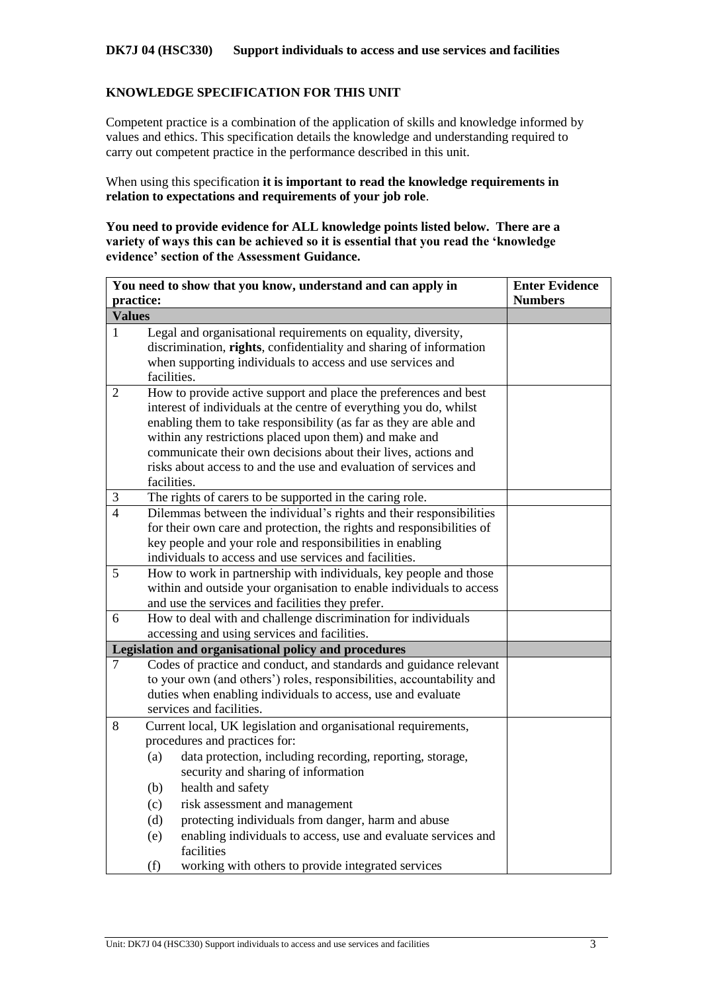#### **DK7J 04 (HSC330) Support individuals to access and use services and facilities**

### **KNOWLEDGE SPECIFICATION FOR THIS UNIT**

Competent practice is a combination of the application of skills and knowledge informed by values and ethics. This specification details the knowledge and understanding required to carry out competent practice in the performance described in this unit.

When using this specification **it is important to read the knowledge requirements in relation to expectations and requirements of your job role**.

**You need to provide evidence for ALL knowledge points listed below. There are a variety of ways this can be achieved so it is essential that you read the 'knowledge evidence' section of the Assessment Guidance.**

| You need to show that you know, understand and can apply in | <b>Enter Evidence</b>                                                                                                                                                                                                                                                                                                                                                                                                                                                                           |                |
|-------------------------------------------------------------|-------------------------------------------------------------------------------------------------------------------------------------------------------------------------------------------------------------------------------------------------------------------------------------------------------------------------------------------------------------------------------------------------------------------------------------------------------------------------------------------------|----------------|
| practice:                                                   |                                                                                                                                                                                                                                                                                                                                                                                                                                                                                                 | <b>Numbers</b> |
| <b>Values</b>                                               |                                                                                                                                                                                                                                                                                                                                                                                                                                                                                                 |                |
| $\mathbf{1}$                                                | Legal and organisational requirements on equality, diversity,<br>discrimination, rights, confidentiality and sharing of information<br>when supporting individuals to access and use services and<br>facilities.                                                                                                                                                                                                                                                                                |                |
| $\overline{2}$                                              | How to provide active support and place the preferences and best<br>interest of individuals at the centre of everything you do, whilst<br>enabling them to take responsibility (as far as they are able and<br>within any restrictions placed upon them) and make and<br>communicate their own decisions about their lives, actions and<br>risks about access to and the use and evaluation of services and<br>facilities.                                                                      |                |
| $\mathfrak{Z}$                                              | The rights of carers to be supported in the caring role.                                                                                                                                                                                                                                                                                                                                                                                                                                        |                |
| $\overline{4}$                                              | Dilemmas between the individual's rights and their responsibilities<br>for their own care and protection, the rights and responsibilities of<br>key people and your role and responsibilities in enabling<br>individuals to access and use services and facilities.                                                                                                                                                                                                                             |                |
| 5                                                           | How to work in partnership with individuals, key people and those<br>within and outside your organisation to enable individuals to access<br>and use the services and facilities they prefer.                                                                                                                                                                                                                                                                                                   |                |
| 6                                                           | How to deal with and challenge discrimination for individuals<br>accessing and using services and facilities.                                                                                                                                                                                                                                                                                                                                                                                   |                |
|                                                             | Legislation and organisational policy and procedures                                                                                                                                                                                                                                                                                                                                                                                                                                            |                |
| 7                                                           | Codes of practice and conduct, and standards and guidance relevant<br>to your own (and others') roles, responsibilities, accountability and<br>duties when enabling individuals to access, use and evaluate<br>services and facilities.                                                                                                                                                                                                                                                         |                |
| 8                                                           | Current local, UK legislation and organisational requirements,<br>procedures and practices for:<br>data protection, including recording, reporting, storage,<br>(a)<br>security and sharing of information<br>health and safety<br>(b)<br>risk assessment and management<br>(c)<br>protecting individuals from danger, harm and abuse<br>(d)<br>enabling individuals to access, use and evaluate services and<br>(e)<br>facilities<br>(f)<br>working with others to provide integrated services |                |
|                                                             |                                                                                                                                                                                                                                                                                                                                                                                                                                                                                                 |                |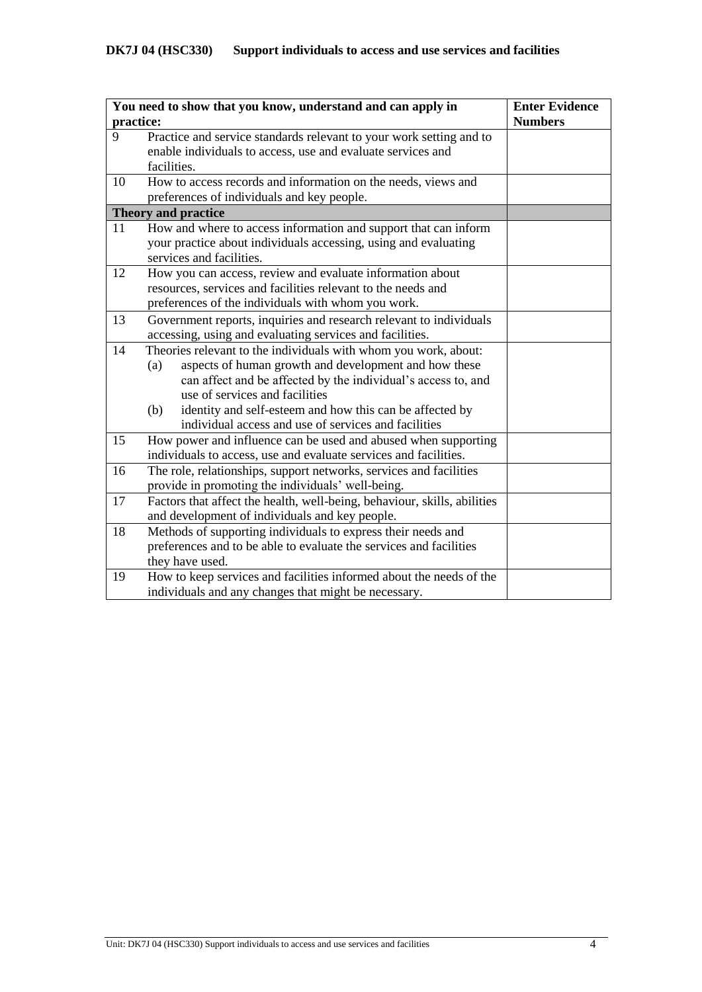| You need to show that you know, understand and can apply in | <b>Enter Evidence</b>                                                    |                |
|-------------------------------------------------------------|--------------------------------------------------------------------------|----------------|
| practice:                                                   |                                                                          | <b>Numbers</b> |
| 9                                                           | Practice and service standards relevant to your work setting and to      |                |
|                                                             | enable individuals to access, use and evaluate services and              |                |
|                                                             | facilities.                                                              |                |
| 10                                                          | How to access records and information on the needs, views and            |                |
|                                                             | preferences of individuals and key people.                               |                |
|                                                             | <b>Theory and practice</b>                                               |                |
| 11                                                          | How and where to access information and support that can inform          |                |
|                                                             | your practice about individuals accessing, using and evaluating          |                |
|                                                             | services and facilities.                                                 |                |
| 12                                                          | How you can access, review and evaluate information about                |                |
|                                                             | resources, services and facilities relevant to the needs and             |                |
|                                                             | preferences of the individuals with whom you work.                       |                |
| 13                                                          | Government reports, inquiries and research relevant to individuals       |                |
|                                                             | accessing, using and evaluating services and facilities.                 |                |
| 14                                                          | Theories relevant to the individuals with whom you work, about:          |                |
|                                                             | aspects of human growth and development and how these<br>(a)             |                |
|                                                             | can affect and be affected by the individual's access to, and            |                |
|                                                             | use of services and facilities                                           |                |
|                                                             | identity and self-esteem and how this can be affected by<br>(b)          |                |
|                                                             | individual access and use of services and facilities                     |                |
| 15                                                          | How power and influence can be used and abused when supporting           |                |
|                                                             | individuals to access, use and evaluate services and facilities.         |                |
| 16                                                          | The role, relationships, support networks, services and facilities       |                |
|                                                             | provide in promoting the individuals' well-being.                        |                |
| 17                                                          | Factors that affect the health, well-being, behaviour, skills, abilities |                |
|                                                             | and development of individuals and key people.                           |                |
| 18                                                          | Methods of supporting individuals to express their needs and             |                |
|                                                             | preferences and to be able to evaluate the services and facilities       |                |
|                                                             | they have used.                                                          |                |
| 19                                                          | How to keep services and facilities informed about the needs of the      |                |
|                                                             | individuals and any changes that might be necessary.                     |                |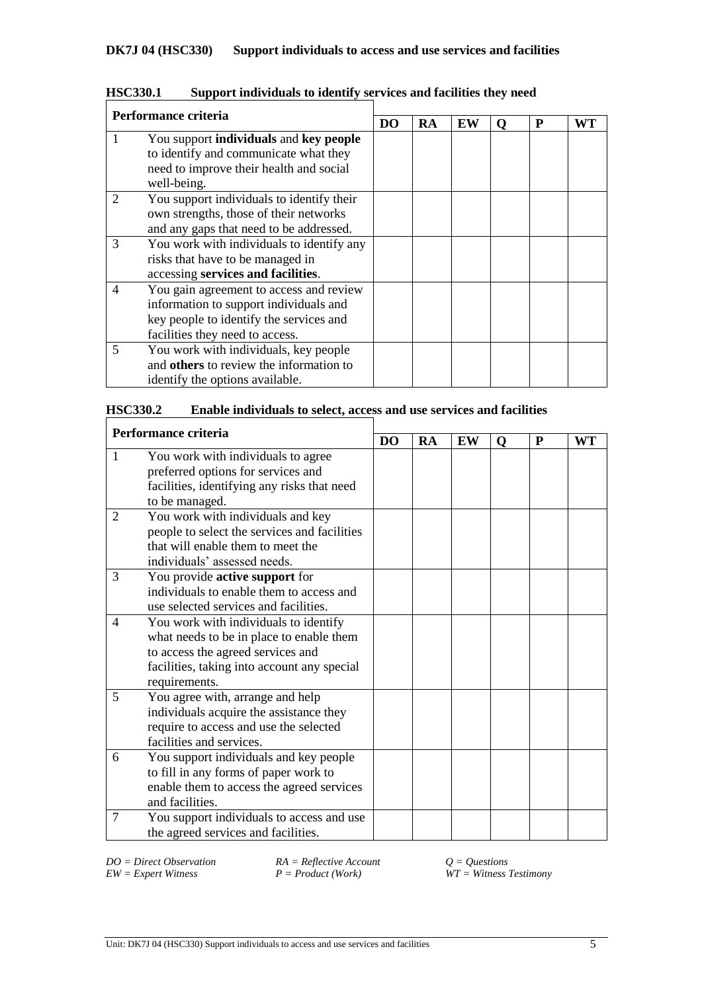| Performance criteria |                                                                                                                                                                 |  |    |    |   |   |    |
|----------------------|-----------------------------------------------------------------------------------------------------------------------------------------------------------------|--|----|----|---|---|----|
|                      |                                                                                                                                                                 |  | RA | EW | 0 | P | WT |
|                      | You support individuals and key people<br>to identify and communicate what they<br>need to improve their health and social<br>well-being.                       |  |    |    |   |   |    |
| 2                    | You support individuals to identify their<br>own strengths, those of their networks<br>and any gaps that need to be addressed.                                  |  |    |    |   |   |    |
| 3                    | You work with individuals to identify any<br>risks that have to be managed in<br>accessing services and facilities.                                             |  |    |    |   |   |    |
| 4                    | You gain agreement to access and review<br>information to support individuals and<br>key people to identify the services and<br>facilities they need to access. |  |    |    |   |   |    |
| 5                    | You work with individuals, key people<br>and others to review the information to<br>identify the options available.                                             |  |    |    |   |   |    |

**HSC330.1 Support individuals to identify services and facilities they need**

| Performance criteria |                                              | DO |           |    |   |   |           |
|----------------------|----------------------------------------------|----|-----------|----|---|---|-----------|
|                      |                                              |    | <b>RA</b> | EW | O | P | <b>WT</b> |
| 1                    | You work with individuals to agree           |    |           |    |   |   |           |
|                      | preferred options for services and           |    |           |    |   |   |           |
|                      | facilities, identifying any risks that need  |    |           |    |   |   |           |
|                      | to be managed.                               |    |           |    |   |   |           |
| 2                    | You work with individuals and key            |    |           |    |   |   |           |
|                      | people to select the services and facilities |    |           |    |   |   |           |
|                      | that will enable them to meet the            |    |           |    |   |   |           |
|                      | individuals' assessed needs.                 |    |           |    |   |   |           |
| 3                    | You provide <b>active support</b> for        |    |           |    |   |   |           |
|                      | individuals to enable them to access and     |    |           |    |   |   |           |
|                      | use selected services and facilities.        |    |           |    |   |   |           |
| 4                    | You work with individuals to identify        |    |           |    |   |   |           |
|                      | what needs to be in place to enable them     |    |           |    |   |   |           |
|                      | to access the agreed services and            |    |           |    |   |   |           |
|                      | facilities, taking into account any special  |    |           |    |   |   |           |
|                      | requirements.                                |    |           |    |   |   |           |
| 5                    | You agree with, arrange and help             |    |           |    |   |   |           |
|                      | individuals acquire the assistance they      |    |           |    |   |   |           |
|                      | require to access and use the selected       |    |           |    |   |   |           |
|                      | facilities and services.                     |    |           |    |   |   |           |
| 6                    | You support individuals and key people       |    |           |    |   |   |           |
|                      | to fill in any forms of paper work to        |    |           |    |   |   |           |
|                      | enable them to access the agreed services    |    |           |    |   |   |           |
|                      | and facilities.                              |    |           |    |   |   |           |
| 7                    | You support individuals to access and use    |    |           |    |   |   |           |
|                      | the agreed services and facilities.          |    |           |    |   |   |           |

*DO* = *Direct Observation RA* = *Reflective Account*  $Q = Q$ *uestions EW* = *Expert Witness A P* = *Product* (*Work*) *WT* = *Witness Z* 

 $\widetilde{W}T = \widetilde{W}$  *Witness Testimony*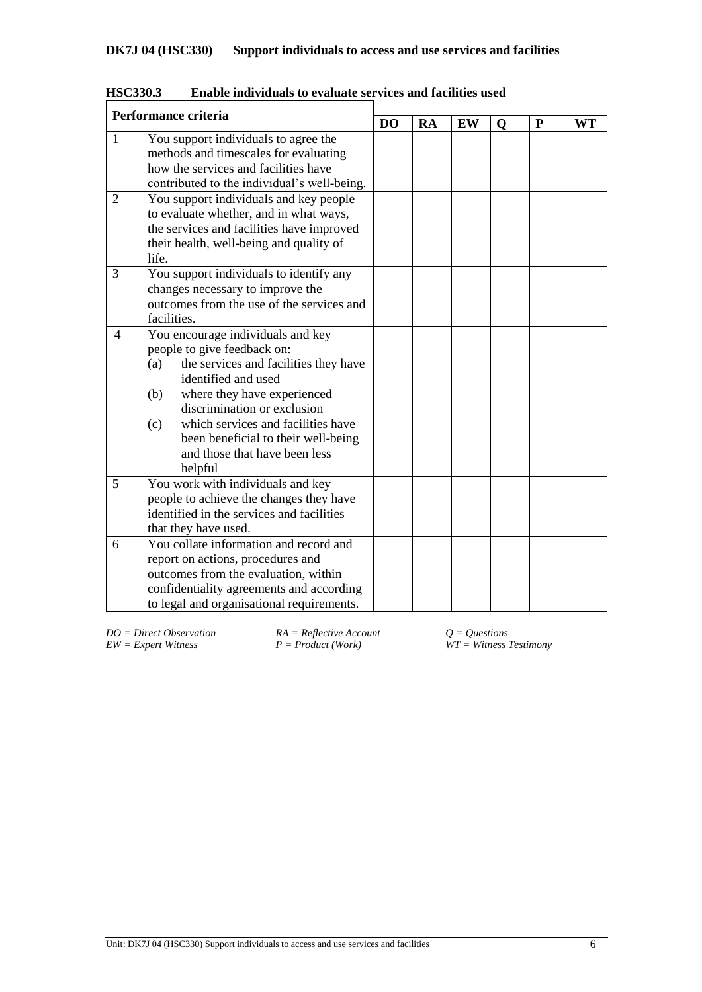| Performance criteria |                                                                                                                                                                                                                                                                                                                                              |  |    |    |             |   |           |
|----------------------|----------------------------------------------------------------------------------------------------------------------------------------------------------------------------------------------------------------------------------------------------------------------------------------------------------------------------------------------|--|----|----|-------------|---|-----------|
|                      |                                                                                                                                                                                                                                                                                                                                              |  | RA | EW | $\mathbf Q$ | P | <b>WT</b> |
| $\mathbf{1}$         | You support individuals to agree the<br>methods and timescales for evaluating<br>how the services and facilities have<br>contributed to the individual's well-being.                                                                                                                                                                         |  |    |    |             |   |           |
| 2                    | You support individuals and key people<br>to evaluate whether, and in what ways,<br>the services and facilities have improved<br>their health, well-being and quality of<br>life.                                                                                                                                                            |  |    |    |             |   |           |
| 3                    | You support individuals to identify any<br>changes necessary to improve the<br>outcomes from the use of the services and<br>facilities.                                                                                                                                                                                                      |  |    |    |             |   |           |
| $\overline{4}$       | You encourage individuals and key<br>people to give feedback on:<br>the services and facilities they have<br>(a)<br>identified and used<br>where they have experienced<br>(b)<br>discrimination or exclusion<br>which services and facilities have<br>(c)<br>been beneficial to their well-being<br>and those that have been less<br>helpful |  |    |    |             |   |           |
| 5                    | You work with individuals and key<br>people to achieve the changes they have<br>identified in the services and facilities<br>that they have used.                                                                                                                                                                                            |  |    |    |             |   |           |
| 6                    | You collate information and record and<br>report on actions, procedures and<br>outcomes from the evaluation, within<br>confidentiality agreements and according<br>to legal and organisational requirements.                                                                                                                                 |  |    |    |             |   |           |

**HSC330.3 Enable individuals to evaluate services and facilities used**

*DO* = *Direct Observation RA* = *Reflective Account Q* = *Questions EW* = *Expert Witness P* = *Product* (*Work*) *WT* = *Witness Z* 

*EW = Expert Witness P = Product (Work) WT = Witness Testimony*